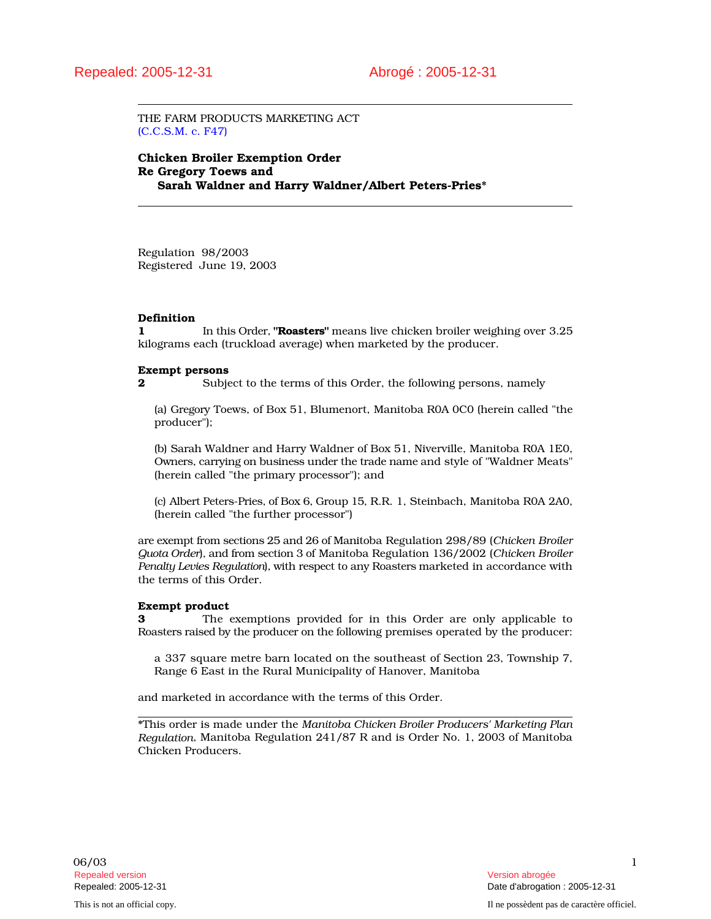THE FARM PRODUCTS MARKETING ACT (C.C.S.M. c. F47)

Chicken Broiler Exemption Order Re Gregory Toews and Sarah Waldner and Harry Waldner/Albert Peters-Pries\*

Regulation 98/2003 Registered June 19, 2003

# Definition

1 In this Order, "**Roasters**" means live chicken broiler weighing over 3.25 kilograms each (truckload average) when marketed by the producer.

## Exempt persons

**2** Subject to the terms of this Order, the following persons, namely

(a) Gregory Toews, of Box 51, Blumenort, Manitoba R0A 0C0 (herein called "the producer");

(b) Sarah Waldner and Harry Waldner of Box 51, Niverville, Manitoba R0A 1E0, Owners, carrying on business under the trade name and style of "Waldner Meats" (herein called "the primary processor"); and

(c) Albert Peters-Pries, of Box 6, Group 15, R.R. 1, Steinbach, Manitoba R0A 2A0, (herein called "the further processor")

are exempt from sections 25 and 26 of Manitoba Regulation 298/89 (*Chicken Broiler Quota Order*), and from section 3 of Manitoba Regulation 136/2002 (*Chicken Broiler Penalty Levies Regulation*), with respect to any Roasters marketed in accordance with the terms of this Order.

## Exempt product

3 The exemptions provided for in this Order are only applicable to Roasters raised by the producer on the following premises operated by the producer:

a 337 square metre barn located on the southeast of Section 23, Township 7, Range 6 East in the Rural Municipality of Hanover, Manitoba

and marketed in accordance with the terms of this Order.

\*This order is made under the *Manitoba Chicken Broiler Producers' Marketing Plan Regulation*, Manitoba Regulation 241/87 R and is Order No. 1, 2003 of Manitoba Chicken Producers.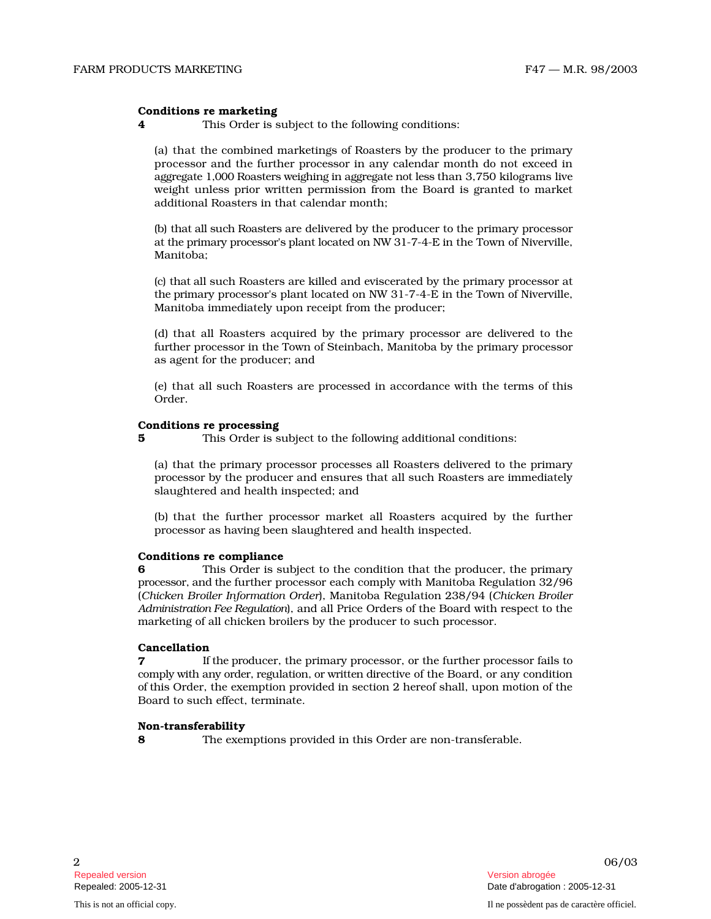## Conditions re marketing

4 This Order is subject to the following conditions:

(a) that the combined marketings of Roasters by the producer to the primary processor and the further processor in any calendar month do not exceed in aggregate 1,000 Roasters weighing in aggregate not less than 3,750 kilograms live weight unless prior written permission from the Board is granted to market additional Roasters in that calendar month;

(b) that all such Roasters are delivered by the producer to the primary processor at the primary processor's plant located on NW 31-7-4-E in the Town of Niverville, Manitoba;

(c) that all such Roasters are killed and eviscerated by the primary processor at the primary processor's plant located on NW 31-7-4-E in the Town of Niverville, Manitoba immediately upon receipt from the producer;

(d) that all Roasters acquired by the primary processor are delivered to the fu rther processor in the Town of Steinbach, Manitoba by the primary processor as agent for the producer; and

(e) that all such Roasters are processed in accordance with the terms of this Order.

#### Conditions re processing

**5** This Order is subject to the following additional conditions:

(a) that the primary processor processes all Roasters delivered to the primary processor by the producer and ensures that all such Roasters are immediately slaughtered and health inspected; and

(b) that the further processor market all Roasters acquired by the further processor as having been slaughtered and health inspected.

## Conditions re compliance

**6** This Order is subject to the condition that the producer, the primary p r ocess o r, and th e further processor each comply with Manitoba Regulation 32/96 (Chicken Broiler Information Order), Manitoba Regulation 238/94 (Chicken Broiler *A d min is tration Fee Reg u latio n*), and all Price Orders of the Board with respect to the marketing of all chicken broilers by the producer to such processor.

## Cancellation

**7** If the producer, the primary processor, or the further processor fails to comply with any order, regulation, or written directive of the Board, or any condition of this Order, the exemption provided in section 2 hereof shall, upon motion of the Board to such effect, terminate.

# Non-transferability

8 The exemptions provided in this Order are non-transferable.